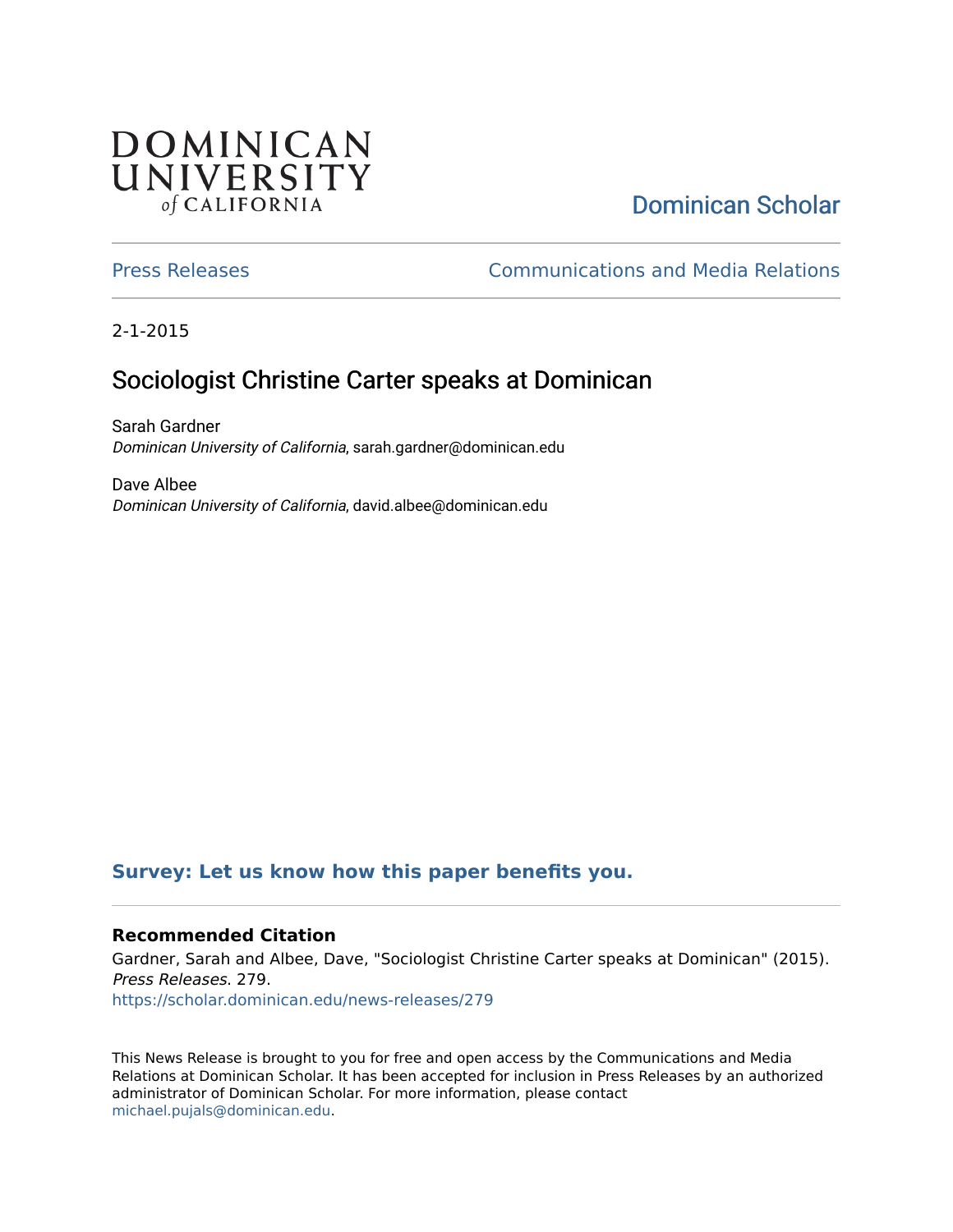## **DOMINICAN** UNIVERSITY of CALIFORNIA

# [Dominican Scholar](https://scholar.dominican.edu/)

[Press Releases](https://scholar.dominican.edu/news-releases) [Communications and Media Relations](https://scholar.dominican.edu/communications-media) 

2-1-2015

## Sociologist Christine Carter speaks at Dominican

Sarah Gardner Dominican University of California, sarah.gardner@dominican.edu

Dave Albee Dominican University of California, david.albee@dominican.edu

## **[Survey: Let us know how this paper benefits you.](https://dominican.libwizard.com/dominican-scholar-feedback)**

### **Recommended Citation**

Gardner, Sarah and Albee, Dave, "Sociologist Christine Carter speaks at Dominican" (2015). Press Releases. 279. [https://scholar.dominican.edu/news-releases/279](https://scholar.dominican.edu/news-releases/279?utm_source=scholar.dominican.edu%2Fnews-releases%2F279&utm_medium=PDF&utm_campaign=PDFCoverPages)

This News Release is brought to you for free and open access by the Communications and Media Relations at Dominican Scholar. It has been accepted for inclusion in Press Releases by an authorized administrator of Dominican Scholar. For more information, please contact [michael.pujals@dominican.edu.](mailto:michael.pujals@dominican.edu)